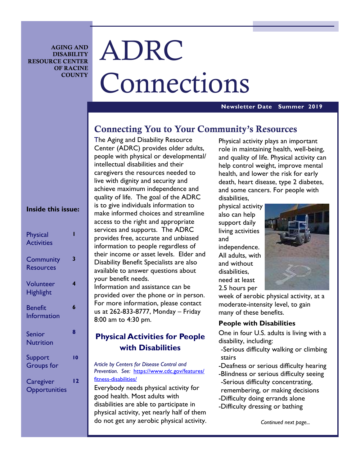**AGING AND DISABILITY RESOURCE CENTER OF RACINE COUNTY** 

# ADRC Connections

#### **Newsletter Date Summer 2019**

### **Connecting You to Your Community's Resources**

The Aging and Disability Resource Center (ADRC) provides older adults, people with physical or developmental/ intellectual disabilities and their caregivers the resources needed to live with dignity and security and achieve maximum independence and quality of life. The goal of the ADRC is to give individuals information to make informed choices and streamline access to the right and appropriate services and supports. The ADRC provides free, accurate and unbiased information to people regardless of their income or asset levels. Elder and Disability Benefit Specialists are also available to answer questions about your benefit needs.

Information and assistance can be provided over the phone or in person. For more information, please contact us at 262-833-8777, Monday – Friday 8:00 am to 4:30 pm.

### **Physical Activities for People with Disabilities**

*Article by Centers for Disease Control and Prevention. See:* https://www.cdc.gov/features/ fitness-disabilities/

Everybody needs physical activity for good health. Most adults with disabilities are able to participate in physical activity, yet nearly half of them do not get any aerobic physical activity.

Physical activity plays an important role in maintaining health, well-being, and quality of life. Physical activity can help control weight, improve mental health, and lower the risk for early death, heart disease, type 2 diabetes, and some cancers. For people with disabilities,

physical activity also can help support daily living activities and independence. All adults, with and without disabilities, need at least 2.5 hours per



week of aerobic physical activity, at a moderate-intensity level, to gain many of these benefits.

### **People with Disabilities**

One in four U.S. adults is living with a disability, including:

- -Serious difficulty walking or climbing stairs
- -Deafness or serious difficulty hearing
- -Blindness or serious difficulty seeing -Serious difficulty concentrating,
- remembering, or making decisions
- -Difficulty doing errands alone
- -Difficulty dressing or bathing

#### *Continued next page...*

### **Inside this issue:**

| <b>Physical</b><br><b>Activities</b> |    |
|--------------------------------------|----|
| <b>Community</b><br><b>Resources</b> | 3  |
| Volunteer<br><b>Highlight</b>        | 4  |
| <b>Benefit</b><br>Information        | 6  |
| <b>Senior</b><br><b>Nutrition</b>    | 8  |
| Support<br><b>Groups</b> for         | 10 |
| Caregiver<br>Opportunities           | 12 |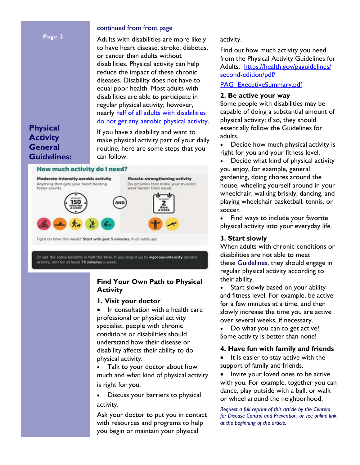#### **Page 2**

#### continued from front page

Adults with disabilities are more likely to have heart disease, stroke, diabetes, or cancer than adults without disabilities. Physical activity can help reduce the impact of these chronic diseases. Disability does not have to equal poor health. Most adults with disabilities are able to participate in regular physical activity; however, nearly half of all adults with disabilities do not get any aerobic physical activity.

**Physical Activity General Guidelines:** 

If you have a disability and want to make physical activity part of your daily routine, here are some steps that you can follow:

#### How much activity do I need?



Or get the same benefits in half the time. If you step it up to vigorous-intensity aerobic activity, aim for at least 75 minutes a week.

### **Find Your Own Path to Physical Activity**

#### **1. Visit your doctor**

• In consultation with a health care professional or physical activity specialist, people with chronic conditions or disabilities should understand how their disease or disability affects their ability to do physical activity.

• Talk to your doctor about how much and what kind of physical activity is right for you.

• Discuss your barriers to physical activity.

Ask your doctor to put you in contact with resources and programs to help you begin or maintain your physical

#### activity.

Find out how much activity you need from the Physical Activity Guidelines for Adults. https://health.gov/paguidelines/ second-edition/pdf/

PAG\_ExecutiveSummary.pdf

### **2. Be active your way**

Some people with disabilities may be capable of doing a substantial amount of physical activity; if so, they should essentially follow the Guidelines for adults.

• Decide how much physical activity is right for you and your fitness level.

• Decide what kind of physical activity you enjoy, for example, general gardening, doing chores around the house, wheeling yourself around in your wheelchair, walking briskly, dancing, and playing wheelchair basketball, tennis, or soccer.

• Find ways to include your favorite physical activity into your everyday life.

### **3. Start slowly**

When adults with chronic conditions or disabilities are not able to meet these Guidelines, they should engage in regular physical activity according to their ability.

Start slowly based on your ability and fitness level. For example, be active for a few minutes at a time, and then slowly increase the time you are active over several weeks, if necessary.

Do what you can to get active! Some activity is better than none!

### **4. Have fun with family and friends**

• It is easier to stay active with the support of family and friends.

Invite your loved ones to be active with you. For example, together you can dance, play outside with a ball, or walk or wheel around the neighborhood.

*Request a full reprint of this article by the Centers for Disease Control and Prevention, or see online link at the beginning of the article.*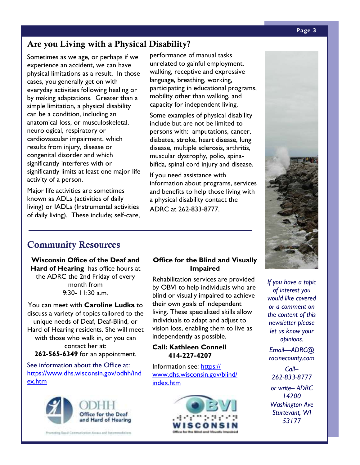## **Are you Living with a Physical Disability?**

Sometimes as we age, or perhaps if we experience an accident, we can have physical limitations as a result. In those cases, you generally get on with everyday activities following healing or by making adaptations. Greater than a simple limitation, a physical disability can be a condition, including an anatomical loss, or musculoskeletal, neurological, respiratory or cardiovascular impairment, which results from injury, disease or congenital disorder and which significantly interferes with or significantly limits at least one major life activity of a person.

Major life activities are sometimes known as ADLs (activities of daily living) or IADLs (Instrumental activities of daily living). These include; self-care,

performance of manual tasks unrelated to gainful employment, walking, receptive and expressive language, breathing, working, participating in educational programs, mobility other than walking, and capacity for independent living.

Some examples of physical disability include but are not be limited to persons with: amputations, cancer, diabetes, stroke, heart disease, lung disease, multiple sclerosis, arthritis, muscular dystrophy, polio, spinabifida, spinal cord injury and disease.

If you need assistance with information about programs, services and benefits to help those living with a physical disability contact the ADRC at 262-833-8777.

# **Community Resources**

**Wisconsin Office of the Deaf and Hard of Hearing** has office hours at the ADRC the 2nd Friday of every month from 9:30- 11:30 a.m.

You can meet with **Caroline Ludka** to discuss a variety of topics tailored to the unique needs of Deaf, Deaf-Blind, or Hard of Hearing residents. She will meet with those who walk in, or you can contact her at: **262-565-6349** for an appointment.

See information about the Office at: https://www.dhs.wisconsin.gov/odhh/ind ex.htm



### **Office for the Blind and Visually Impaired**

Rehabilitation services are provided by OBVI to help individuals who are blind or visually impaired to achieve their own goals of independent living. These specialized skills allow individuals to adapt and adjust to vision loss, enabling them to live as independently as possible.

#### **Call: Kathleen Connell 414-227-4207**

Information see: https:// www.dhs.wisconsin.gov/blind/ index.htm





*If you have a topic of interest you would like covered or a comment on the content of this newsletter please let us know your opinions.* 

*Email—ADRC@ racinecounty.com* 

*Call– 262-833-8777* 

*or write– ADRC 14200 Washington Ave Sturtevant, WI 53177*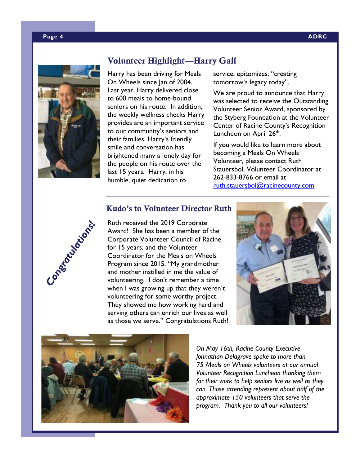#### **Page 4 ADRC**



### **Volunteer Highlight—Harry Gall**

Harry has been driving for Meals On Wheels since Jan of 2004. Last year, Harry delivered close to 600 meals to home-bound seniors on his route. In addition, the weekly wellness checks Harry provides are an important service to our community's seniors and their families. Harry's friendly smile and conversation has brightened many a lonely day for the people on his route over the last 15 years. Harry, in his humble, quiet dedication to

service, epitomizes, "creating tomorrow's legacy today".

We are proud to announce that Harry was selected to receive the Outstanding Volunteer Senior Award, sponsored by the Styberg Foundation at the Volunteer Center of Racine County's Recognition Luncheon on April 26<sup>th</sup>.

If you would like to learn more about becoming a Meals On Wheels Volunteer, please contact Ruth Stauersbol, Volunteer Coordinator at 262-833-8766 or email at ruth.stauersbol@racinecounty.com



### **Kudo's to Volunteer Director Ruth**

Ruth received the 2019 Corporate Award! She has been a member of the Corporate Volunteer Council of Racine for 15 years, and the Volunteer Coordinator for the Meals on Wheels Program since 2015. "My grandmother and mother instilled in me the value of volunteering. I don't remember a time when I was growing up that they weren't volunteering for some worthy project. They showed me how working hard and serving others can enrich our lives as well as those we serve." Congratulations Ruth!





*On May 16th, Racine County Executive Johnathan Delagrave spoke to more than 75 Meals on Wheels volunteers at our annual Volunteer Recognition Luncheon thanking them for their work to help seniors live as well as they can. Those attending represent about half of the approximate 150 volunteers that serve the program. Thank you to all our volunteers!*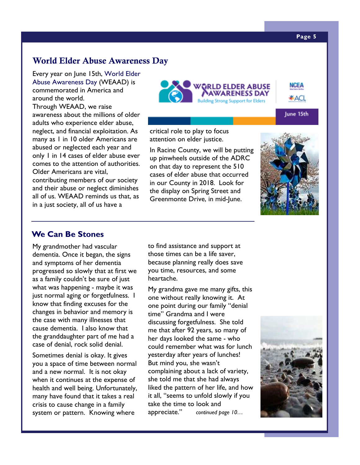#### **Page 5**

NCEA

¥ACL

June 15th

### **World Elder Abuse Awareness Day**

Every year on June 15th, World Elder Abuse Awareness Day (WEAAD) is commemorated in America and around the world. Through WEAAD, we raise awareness about the millions of older adults who experience elder abuse, neglect, and financial exploitation. As many as 1 in 10 older Americans are abused or neglected each year and only 1 in 14 cases of elder abuse ever comes to the attention of authorities. Older Americans are vital, contributing members of our society and their abuse or neglect diminishes all of us. WEAAD reminds us that, as in a just society, all of us have a



critical role to play to focus attention on elder justice.

In Racine County, we will be putting up pinwheels outside of the ADRC on that day to represent the 510 cases of elder abuse that occurred in our County in 2018. Look for the display on Spring Street and Greenmonte Drive, in mid-June.



### **We Can Be Stones**

My grandmother had vascular dementia. Once it began, the signs and symptoms of her dementia progressed so slowly that at first we as a family couldn't be sure of just what was happening - maybe it was just normal aging or forgetfulness. I know that finding excuses for the changes in behavior and memory is the case with many illnesses that cause dementia. I also know that the granddaughter part of me had a case of denial, rock solid denial.

Sometimes denial is okay. It gives you a space of time between normal and a new normal. It is not okay when it continues at the expense of health and well being. Unfortunately, many have found that it takes a real crisis to cause change in a family system or pattern. Knowing where

to find assistance and support at those times can be a life saver, because planning really does save you time, resources, and some heartache.

My grandma gave me many gifts, this one without really knowing it. At one point during our family "denial time" Grandma and I were discussing forgetfulness. She told me that after 92 years, so many of her days looked the same - who could remember what was for lunch yesterday after years of lunches! But mind you, she wasn't complaining about a lack of variety, she told me that she had always liked the pattern of her life, and how it all, "seems to unfold slowly if you take the time to look and appreciate." *continued page 10…*

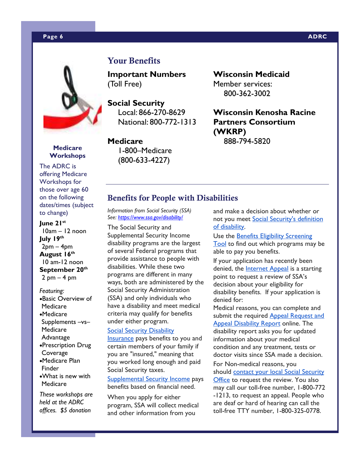#### **Page 6 ADRC 2012 12:00:00 ADRC 2014 12:00:00 ADRC 2014 12:00:00 ADRC**



### **Medicare Workshops**

The ADRC is offering Medicare Workshops for those over age 60 on the following dates/times (subject to change)

### **June 21st**

10am – 12 noon **July 19th**  $2pm - 4pm$ **August 16th** 10 am-12 noon **September 20th**  $2$  pm  $-$  4 pm

#### *Featuring:*

- •Basic Overview of Medicare
- •Medicare Supplements –vs– Medicare Advantage
- •Prescription Drug Coverage
- •Medicare Plan Finder
- •What is new with Medicare

*These workshops are held at the ADRC offices. \$5 donation*

### **Your Benefits**

**Important Numbers**  (Toll Free)

**Social Security**  Local: 866-270-8629 National: 800-772-1313

**Medicare**  1-800–Medicare (800-633-4227)

**Wisconsin Medicaid**  Member services: 800-362-3002

**Wisconsin Kenosha Racine Partners Consortium (WKRP)**  888-794-5820

### **Benefits for People with Disabilities**

*Information from Social Security (SSA) See: https://www.ssa.gov/disability/*

The Social Security and Supplemental Security Income disability programs are the largest of several Federal programs that provide assistance to people with disabilities. While these two programs are different in many ways, both are administered by the Social Security Administration (SSA) and only individuals who have a disability and meet medical criteria may qualify for benefits under either program.

#### Social Security Disability

Insurance pays benefits to you and certain members of your family if you are "insured," meaning that you worked long enough and paid Social Security taxes.

Supplemental Security Income pays benefits based on financial need.

When you apply for either program, SSA will collect medical and other information from you

and make a decision about whether or not you meet Social Security's definition of disability.

Use the Benefits Eligibility Screening Tool to find out which programs may be able to pay you benefits.

If your application has recently been denied, the Internet Appeal is a starting point to request a review of SSA's decision about your eligibility for disability benefits. If your application is denied for:

Medical reasons, you can complete and submit the required Appeal Request and Appeal Disability Report online. The disability report asks you for updated information about your medical condition and any treatment, tests or doctor visits since SSA made a decision.

For Non-medical reasons, you should contact your local Social Security Office to request the review. You also may call our toll-free number, 1-800-772 -1213, to request an appeal. People who are deaf or hard of hearing can call the toll-free TTY number, 1-800-325-0778.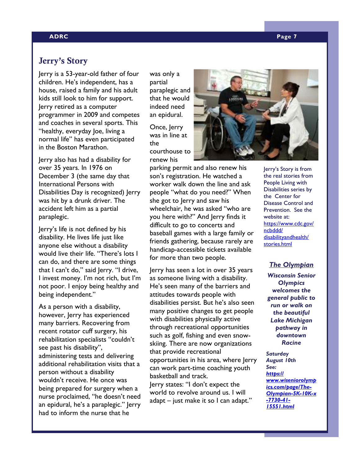#### **ADRC Page 7**

### **Jerry's Story**

Jerry is a 53-year-old father of four children. He's independent, has a house, raised a family and his adult kids still look to him for support. Jerry retired as a computer programmer in 2009 and competes and coaches in several sports. This "healthy, everyday Joe, living a normal life" has even participated in the Boston Marathon.

Jerry also has had a disability for over 35 years. In 1976 on December 3 (the same day that International Persons with Disabilities Day is recognized) Jerry was hit by a drunk driver. The accident left him as a partial paraplegic.

Jerry's life is not defined by his disability. He lives life just like anyone else without a disability would live their life. "There's lots I can do, and there are some things that I can't do," said Jerry. "I drive, I invest money. I'm not rich, but I'm not poor. I enjoy being healthy and being independent."

As a person with a disability, however, Jerry has experienced many barriers. Recovering from recent rotator cuff surgery, his rehabilitation specialists "couldn't see past his disability", administering tests and delivering additional rehabilitation visits that a person without a disability wouldn't receive. He once was being prepared for surgery when a nurse proclaimed, "he doesn't need an epidural, he's a paraplegic." Jerry had to inform the nurse that he

was only a partial paraplegic and that he would indeed need an epidural.

Once, Jerry was in line at the courthouse to renew his

parking permit and also renew his son's registration. He watched a worker walk down the line and ask people "what do you need?" When she got to Jerry and saw his wheelchair, he was asked "who are you here with?" And Jerry finds it difficult to go to concerts and baseball games with a large family or friends gathering, because rarely are handicap-accessible tickets available for more than two people.

Jerry has seen a lot in over 35 years as someone living with a disability. He's seen many of the barriers and attitudes towards people with disabilities persist. But he's also seen many positive changes to get people with disabilities physically active through recreational opportunities such as golf, fishing and even snowskiing. There are now organizations that provide recreational opportunities in his area, where Jerry can work part-time coaching youth basketball and track. Jerry states: "I don't expect the world to revolve around us. I will adapt – just make it so I can adapt."



Jerry's Story is from the real stories from People Living with Disabilities series by the Center for Disease Control and Prevention. See the website at: https://www.cdc.gov/ ncbddd/ disabilityandhealth/ stories.html

### *The Olympian*

*Wisconsin Senior Olympics welcomes the general public to run or walk on the beautiful Lake Michigan pathway in downtown Racine* 

*Saturday August 10th See: https:// www.wiseniorolymp ics.com/page/The-Olympian-5K-10K-x -7730-41- 15551.html*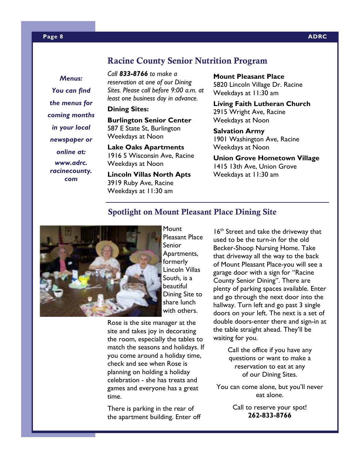### **Racine County Senior Nutrition Program**

*Menus: You can find the menus for coming months in your local newspaper or online at: www.adrc. racinecounty. com* 

*Call 833-8766 to make a reservation at one of our Dining Sites. Please call before 9:00 a.m. at least one business day in advance.* 

**Dining Sites:** 

**Burlington Senior Center**  587 E State St, Burlington Weekdays at Noon

**Lake Oaks Apartments**  1916 S Wisconsin Ave, Racine Weekdays at Noon

**Lincoln Villas North Apts** 3919 Ruby Ave, Racine Weekdays at 11:30 am

**Mount Pleasant Place**  5820 Lincoln Village Dr. Racine

Weekdays at 11:30 am

**Living Faith Lutheran Church**  2915 Wright Ave, Racine Weekdays at Noon

**Salvation Army**  1901 Washington Ave, Racine Weekdays at Noon

**Union Grove Hometown Village**  1415 13th Ave, Union Grove Weekdays at 11:30 am

### **Spotlight on Mount Pleasant Place Dining Site**



**Mount** Pleasant Place Senior Apartments, formerly Lincoln Villas South, is a beautiful Dining Site to share lunch with others.

Rose is the site manager at the site and takes joy in decorating the room, especially the tables to match the seasons and holidays. If you come around a holiday time, check and see when Rose is planning on holding a holiday celebration - she has treats and games and everyone has a great time.

There is parking in the rear of the apartment building. Enter off

16<sup>th</sup> Street and take the driveway that used to be the turn-in for the old Becker-Shoop Nursing Home. Take that driveway all the way to the back of Mount Pleasant Place-you will see a garage door with a sign for "Racine County Senior Dining". There are plenty of parking spaces available. Enter and go through the next door into the hallway. Turn left and go past 3 single doors on your left. The next is a set of double doors-enter there and sign-in at the table straight ahead. They'll be waiting for you.

> Call the office if you have any questions or want to make a reservation to eat at any of our Dining Sites.

You can come alone, but you'll never eat alone.

> Call to reserve your spot! **262-833-8766**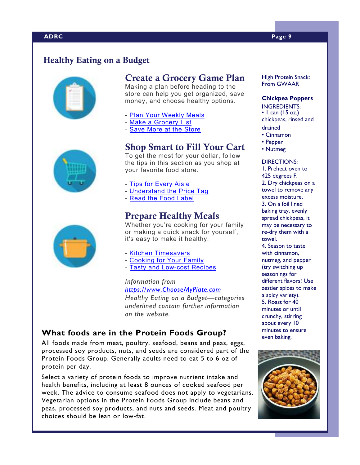## **Healthy Eating on a Budget**







Making a plan before heading to the store can help you get organized, save money, and choose healthy options.

- Plan Your Weekly Meals
- Make a Grocery List

- Save More at the Store

### **Shop Smart to Fill Your Cart**

To get the most for your dollar, follow the tips in this section as you shop at your favorite food store.

- Tips for Every Aisle

- Understand the Price Tag
- Read the Food Label

### **Prepare Healthy Meals**

Whether you're cooking for your family or making a quick snack for yourself, it's easy to make it healthy.

- Kitchen Timesavers
- Cooking for Your Family
- Tasty and Low-cost Recipes

*Information from https://www.ChooseMyPlate.com* 

*Healthy Eating on a Budget—categories underlined contain further information on the website.*

### **What foods are in the Protein Foods Group?**

All foods made from meat, poultry, seafood, beans and peas, eggs, processed soy products, nuts, and seeds are considered part of the Protein Foods Group. Generally adults need to eat 5 to 6 oz of protein per day.

Select a variety of protein foods to improve nutrient intake and health benefits, including at least 8 ounces of cooked seafood per week. The advice to consume seafood does not apply to vegetarians. Vegetarian options in the Protein Foods Group include beans and peas, processed soy products, and nuts and seeds. Meat and poultry choices should be lean or low-fat.

High Protein Snack: From GWAAR

### **Chickpea Poppers**

INGREDIENTS:

 $\cdot$  1 can (15 oz.) chickpeas, rinsed and drained

- Cinnamon
- Pepper
- Nutmeg

#### DIRECTIONS:

1. Preheat oven to 425 degrees F. 2. Dry chickpeas on a towel to remove any excess moisture. 3. On a foil lined baking tray, evenly spread chickpeas, it may be necessary to re-dry them with a towel.

4. Season to taste with cinnamon, nutmeg, and pepper (try switching up seasonings for different flavors! Use zestier spices to make a spicy variety). 5. Roast for 40 minutes or until crunchy, stirring about every 10 minutes to ensure even baking.





### **ADRC Page 9**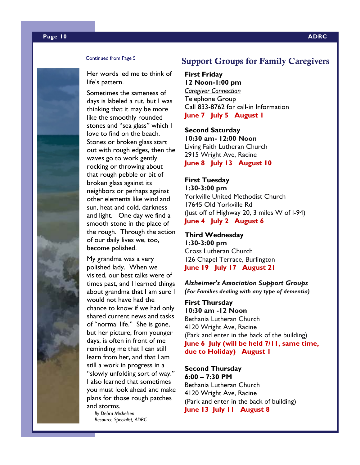#### Continued from Page 5

Her words led me to think of life's pattern.

Sometimes the sameness of days is labeled a rut, but I was thinking that it may be more like the smoothly rounded stones and "sea glass" which I love to find on the beach. Stones or broken glass start out with rough edges, then the waves go to work gently rocking or throwing about that rough pebble or bit of broken glass against its neighbors or perhaps against other elements like wind and sun, heat and cold, darkness and light. One day we find a smooth stone in the place of the rough. Through the action of our daily lives we, too, become polished.

My grandma was a very polished lady. When we visited, our best talks were of times past, and I learned things about grandma that I am sure I would not have had the chance to know if we had only shared current news and tasks of "normal life." She is gone, but her picture, from younger days, is often in front of me reminding me that I can still learn from her, and that I am still a work in progress in a "slowly unfolding sort of way." I also learned that sometimes you must look ahead and make plans for those rough patches and storms.

*By Debra Mickelsen Resource Specialist, ADRC* 

### **Support Groups for Family Caregivers**

### **First Friday 12 Noon-1:00 pm** *Caregiver Connection* Telephone Group Call 833-8762 for call-in Information **June 7 July 5 August 1**

**Second Saturday 10:30 am- 12:00 Noon**

Living Faith Lutheran Church 2915 Wright Ave, Racine **June 8 July 13 August 10**

#### **First Tuesday**

**1:30-3:00 pm** Yorkville United Methodist Church 17645 Old Yorkville Rd (Just off of Highway 20, 3 miles W of I-94) **June 4 July 2 August 6**

#### **Third Wednesday 1:30-3:00 pm**

Cross Lutheran Church 126 Chapel Terrace, Burlington **June 19 July 17 August 21**

#### *Alzheimer's Association Support Groups (For Families dealing with any type of dementia)*

**First Thursday 10:30 am -12 Noon** Bethania Lutheran Church 4120 Wright Ave, Racine (Park and enter in the back of the building) **June 6 July (will be held 7/11, same time, due to Holiday) August 1**

#### **Second Thursday 6:00 – 7:30 PM**

Bethania Lutheran Church 4120 Wright Ave, Racine (Park and enter in the back of building) **June 13 July 11 August 8**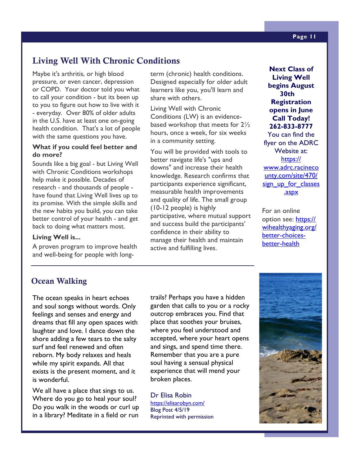### **Living Well With Chronic Conditions**

Maybe it's arthritis, or high blood pressure, or even cancer, depression or COPD. Your doctor told you what to call your condition - but its been up to you to figure out how to live with it - everyday. Over 80% of older adults in the U.S. have at least one on-going health condition. That's a lot of people with the same questions you have.

### **What if you could feel better and do more?**

Sounds like a big goal - but Living Well with Chronic Conditions workshops help make it possible. Decades of research - and thousands of people have found that Living Well lives up to its promise. With the simple skills and the new habits you build, you can take better control of your health - and get back to doing what matters most.

### **Living Well is...**

A proven program to improve health and well-being for people with longterm (chronic) health conditions. Designed especially for older adult learners like you, you'll learn and share with others.

Living Well with Chronic Conditions (LW) is an evidencebased workshop that meets for 2½ hours, once a week, for six weeks in a community setting.

You will be provided with tools to better navigate life's "ups and downs" and increase their health knowledge. Research confirms that participants experience significant, measurable health improvements and quality of life. The small group (10-12 people) is highly participative, where mutual support and success build the participants' confidence in their ability to manage their health and maintain active and fulfilling lives.

**Next Class of Living Well begins August 30th Registration opens in June Call Today! 262-833-8777**  You can find the flyer on the ADRC Website at: https:// www.adrc.racineco unty.com/site/470/ sign\_up\_for\_classes .aspx

For an online option see: https:// wihealthyaging.org/ better-choicesbetter-health

### **Ocean Walking**

The ocean speaks in heart echoes and soul songs without words. Only feelings and senses and energy and dreams that fill any open spaces with laughter and love. I dance down the shore adding a few tears to the salty surf and feel renewed and often reborn. My body relaxes and heals while my spirit expands. All that exists is the present moment, and it is wonderful.

We all have a place that sings to us. Where do you go to heal your soul? Do you walk in the woods or curl up in a library? Meditate in a field or run

trails? Perhaps you have a hidden garden that calls to you or a rocky outcrop embraces you. Find that place that soothes your bruises, where you feel understood and accepted, where your heart opens and sings, and spend time there. Remember that you are a pure soul having a sensual physical experience that will mend your broken places.

Dr Elisa Robin https://elisarobyn.com/ Blog Post 4/5/19 Reprinted with permission